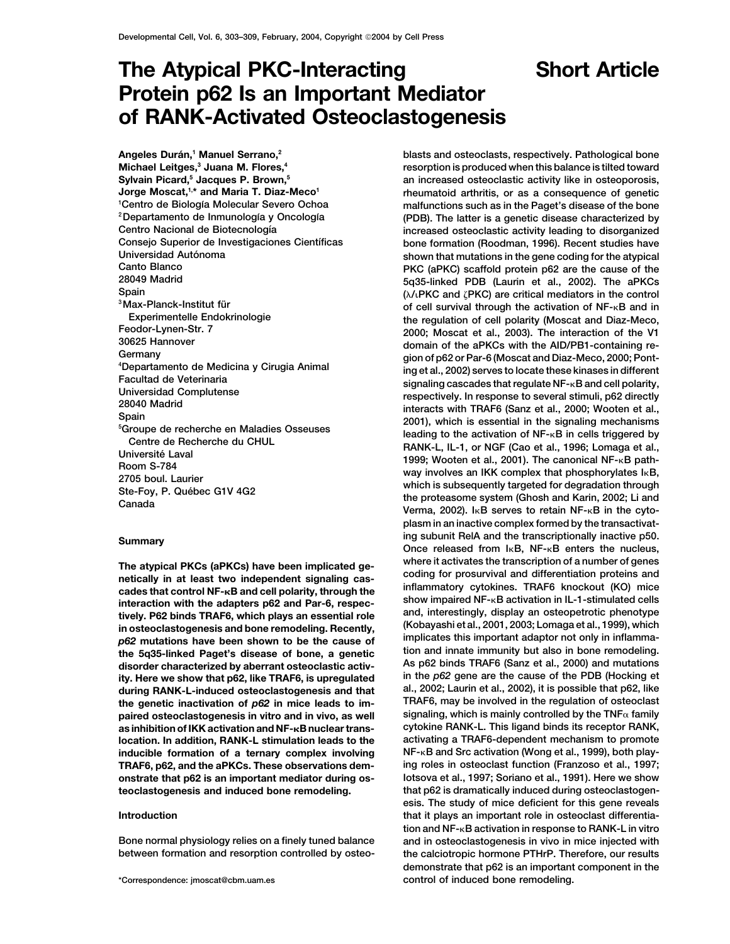# **The Atypical PKC-Interacting Short Article Protein p62 Is an Important Mediator of RANK-Activated Osteoclastogenesis**

**Angeles Dura´ n,1 Manuel Serrano,2 Michael Leitges,3 Juana M. Flores,4 Sylvain Picard,5 Jacques P. Brown,5** Jorge Moscat,<sup>1,\*</sup> and Maria T. Diaz-Meco<sup>1</sup> <sup>1</sup> Centro de Biología Molecular Severo Ochoa **Spain (/**-

**the 5q35-linked Paget's disease of bone, a genetic** in and innate immunity but also in bone remodeling.<br> **tion and innate immunity but also in bone remodeling.**<br> **disorder characterized by aberrant osteoclastic activ-** As **ity. Here we show that p62, like TRAF6, is upregulated during RANK-L-induced osteoclastogenesis and that al., 2002; Laurin et al., 2002), it is possible that p62, like as inhibition of IKK activation and NF-B nuclear trans- cytokine RANK-L. This ligand binds its receptor RANK, location. In addition, RANK-L stimulation leads to the activating a TRAF6-dependent mechanism to promote TRAF6, p62, and the aPKCs. These observations demonstrate that p62 is an important mediator during os- Iotsova et al., 1997; Soriano et al., 1991). Here we show teoclastogenesis and induced bone remodeling. that p62 is dramatically induced during osteoclastogen-**

**blasts and osteoclasts, respectively. Pathological bone resorption is produced when this balance is tilted toward an increased osteoclastic activity like in osteoporosis, rheumatoid arthritis, or as a consequence of genetic malfunctions such as in the Paget's disease of the bone** <sup>2</sup> Departamento de Inmunología y Oncología (PDB). The latter is a genetic disease characterized by **Centro Nacional de Biotecnologı´a increased osteoclastic activity leading to disorganized Consejo Superior de Investigaciones Cientı´ficas bone formation (Roodman, 1996). Recent studies have** Universidad Autónoma<br>Canto Blanco<br>Canto Blanco<br>Canto Blanco **Canto Blanco PKC (aPKC) scaffold protein p62 are the cause of the 28049 Madrid 5q35-linked PDB (Laurin et al., 2002). The aPKCs PRC)** are critical mediators in the control<br><sup>3</sup>Max-Planck-Institut für<sup>3</sup><br>Experimentelle Endokrinologie **by the requistion of cell polarity (Moscat and Diaz-Meco** Experimentelle Endokrinologie **the regulation of cell polarity (Moscat and Diaz-Meco, Feodor-Lynen-Str. 7 1999**<br>2000; Moscat et al., 2003). The interaction of the V1<br>2000; Moscat et al., 2003). The interaction of the V **30625 Hannover domain of the aPKCs with the AID/PB1-containing re- Germany gion of p62 or Par-6 (Moscat and Diaz-Meco, 2000; Pont- <sup>4</sup>** We the method of Medicina y Cirugia Animal<br>
Facultad de Veterinaria<br>
Universidad Complutense<br>
28040 Madrid<br>
Spain<br>
Signaling cascades that regulate NF-kB and cell polarity,<br>
2000; Wooten et al.,<br>
Spain<br>
Signaling cascades For School de recherche en Maladies Osseuses<br>
Centre de Recherche du CHUL<br>
Université Laval<br>
Université Laval<br>
2705 boul. Laurier<br>
2705 boul. Laurier<br>
2705 boul. Laurier<br>
2705 boul. Laurier<br>
2705 boul. Laurier<br>
2705 boul. **plasm in an inactive complex formed by the transactivating subunit RelA and the transcriptionally inactive p50.**<br> **Once released from I<sub>K</sub>B, NF-<sub>K</sub>B enters the nucleus,** The atypical PKCs (aPKCs) have been implicated ge-<br>netically in at least two independent signaling cas-<br>cades that control NF-<sub>K</sub>B and cell polarity, through the<br>interaction with the adapters p62 and Par-6, respec-<br>tively. **disorder characterized by aberrant osteoclastic activ- As p62 binds TRAF6 (Sanz et al., 2000) and mutations TRAF6, may be involved in the regulation of osteoclast the genetic inactivation of** *p62* **in mice leads to impaired osteoclastogenesis in vitro and in vivo, as well signaling, which is mainly controlled by the TNF family inducible formation of a ternary complex involving NF-B and Src activation (Wong et al., 1999), both playesis. The study of mice deficient for this gene reveals Introduction that it plays an important role in osteoclast differentiation and NF-B activation in response to RANK-L in vitro Bone normal physiology relies on a finely tuned balance and in osteoclastogenesis in vivo in mice injected with between formation and resorption controlled by osteo- the calciotropic hormone PTHrP. Therefore, our results demonstrate that p62 is an important component in the \*Correspondence: jmoscat@cbm.uam.es control of induced bone remodeling.**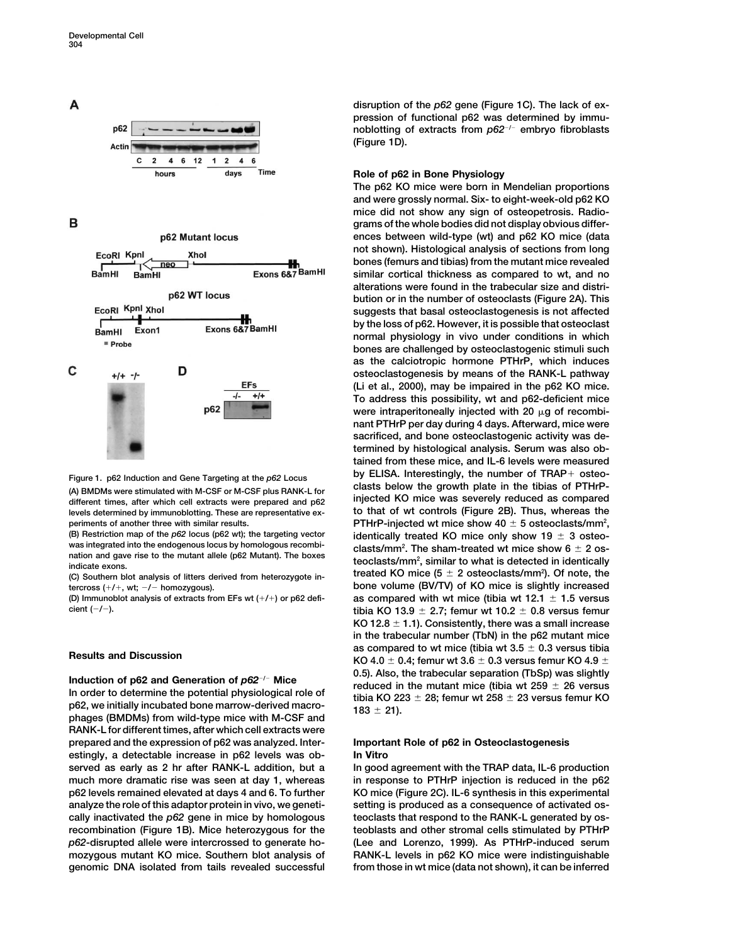

B

A



**clasts below the growth plate in the tibias of PTHrP- (A) BMDMs were stimulated with M-CSF or M-CSF plus RANK-L for different times, after which cell extracts were prepared and p62 injected KO mice was severely reduced as compared levels determined by immunoblotting. These are representative ex- to that of wt controls (Figure 2B). Thus, whereas the**  $p$  periments of another three with similar results.  $p$  **PTHrP-injected wt mice show 40**  $\pm$  5 osteoclasts/mm<sup>2</sup>,

**was integrated into the endogenous locus by homologous recombi- clasts/mm2 nation and gave rise to the mutant allele (p62 Mutant). The boxes indicate exons.** 

(C) Southern blot analysis of litters derived from heterozygote in**tercross (/, wt; / homozygous). bone volume (BV/TV) of KO mice is slightly increased**

**RANK-L for different times, after which cell extracts were prepared and the expression of p62 was analyzed. Inter- Important Role of p62 in Osteoclastogenesis estingly, a detectable increase in p62 levels was ob- In Vitro served as early as 2 hr after RANK-L addition, but a In good agreement with the TRAP data, IL-6 production much more dramatic rise was seen at day 1, whereas in response to PTHrP injection is reduced in the p62 p62 levels remained elevated at days 4 and 6. To further KO mice (Figure 2C). IL-6 synthesis in this experimental analyze the role of this adaptor protein in vivo, we geneti- setting is produced as a consequence of activated oscally inactivated the** *p62* **gene in mice by homologous teoclasts that respond to the RANK-L generated by osrecombination (Figure 1B). Mice heterozygous for the teoblasts and other stromal cells stimulated by PTHrP** *p62***-disrupted allele were intercrossed to generate ho- (Lee and Lorenzo, 1999). As PTHrP-induced serum mozygous mutant KO mice. Southern blot analysis of RANK-L levels in p62 KO mice were indistinguishable genomic DNA isolated from tails revealed successful from those in wt mice (data not shown), it can be inferred**

**disruption of the** *p62* **gene (Figure 1C). The lack of expression of functional p62 was determined by immunoblotting of extracts from** *p62/* **embryo fibroblasts (Figure 1D).**

# **Role of p62 in Bone Physiology**

**The p62 KO mice were born in Mendelian proportions and were grossly normal. Six- to eight-week-old p62 KO mice did not show any sign of osteopetrosis. Radiograms of the whole bodies did not display obvious differences between wild-type (wt) and p62 KO mice (data not shown). Histological analysis of sections from long bones (femurs and tibias) from the mutant mice revealed similar cortical thickness as compared to wt, and no alterations were found in the trabecular size and distribution or in the number of osteoclasts (Figure 2A). This suggests that basal osteoclastogenesis is not affected by the loss of p62. However, it is possible that osteoclast normal physiology in vivo under conditions in which bones are challenged by osteoclastogenic stimuli such as the calciotropic hormone PTHrP, which induces osteoclastogenesis by means of the RANK-L pathway (Li et al., 2000), may be impaired in the p62 KO mice. To address this possibility, wt and p62-deficient mice** were intraperitoneally injected with 20  $\mu$ g of recombi**nant PTHrP per day during 4 days. Afterward, mice were sacrificed, and bone osteoclastogenic activity was determined by histological analysis. Serum was also obtained from these mice, and IL-6 levels were measured by ELISA. Interestingly, the number of TRAP osteo- Figure 1. p62 Induction and Gene Targeting at the** *p62* **Locus** (B) Restriction map of the  $p62$  locus ( $p62$  wt); the targeting vector **identically treated KO mice only show 19**  $\pm$  3 osteoclasts/mm<sup>2</sup>. The sham-treated wt mice show  $6 \pm 2$  osteoclasts/mm<sup>2</sup>, similar to what is detected in identically treated KO mice  $(5 \pm 2 \text{ osteoclasts/mm}^2)$ . Of note, the **(D) Immunoblot analysis of extracts from EFs wt (/) or p62 defi- as compared with wt mice (tibia wt 12.1 1.5 versus cient (**-/-). **tibia KO 13.9**  $\pm$  2.7; femur wt 10.2  $\pm$  0.8 versus femur **KO 12.8 1.1). Consistently, there was a small increase in the trabecular number (TbN) in the p62 mutant mice as compared to wt mice (tibia wt 3.5**  $\pm$  0.3 versus tibia<br> $\text{KO 4.0} \pm 0.4$ ; femur wt 3.6  $\pm$  0.3 versus femur KO 4.9  $\pm$ Induction of p62 and Generation of p62<sup>-/-</sup> Mice<br>In order to determine the potential physiological role of<br>p62, we initially incubated bone marrow-derived macro-<br>phages (BMDMs) from wild-type mice with M-CSF and<br>phages (B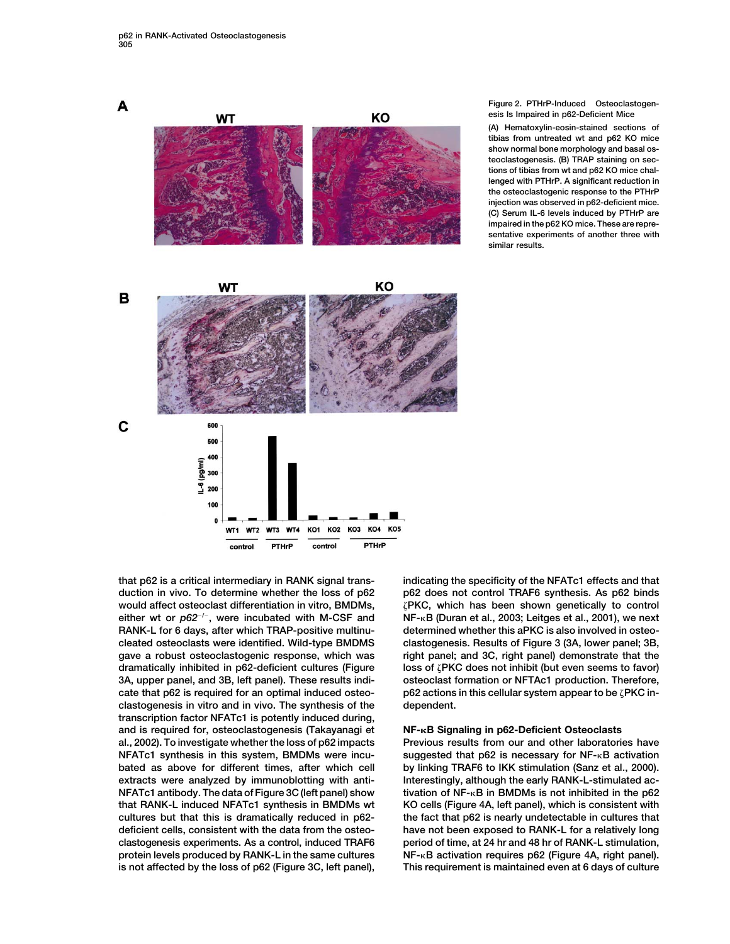A KO **WT** KO **WT** в

**Figure 2. PTHrP-Induced Osteoclastogenesis Is Impaired in p62-Deficient Mice**

**(A) Hematoxylin-eosin-stained sections of tibias from untreated wt and p62 KO mice show normal bone morphology and basal osteoclastogenesis. (B) TRAP staining on sections of tibias from wt and p62 KO mice challenged with PTHrP. A significant reduction in the osteoclastogenic response to the PTHrP injection was observed in p62-deficient mice. (C) Serum IL-6 levels induced by PTHrP are impaired in the p62 KO mice. These are representative experiments of another three with similar results.**





**would affect osteoclast differentiation in vitro, BMDMs, PKC, which has been shown genetically to control RANK-L for 6 days, after which TRAP-positive multinu- determined whether this aPKC is also involved in osteocleated osteoclasts were identified. Wild-type BMDMS clastogenesis. Results of Figure 3 (3A, lower panel; 3B, gave a robust osteoclastogenic response, which was right panel; and 3C, right panel) demonstrate that the 3A, upper panel, and 3B, left panel). These results indi- osteoclast formation or NFTAc1 production. Therefore, cate that p62 is required for an optimal induced osteo- p62 actions in this cellular system appear to be PKC inclastogenesis in vitro and in vivo. The synthesis of the dependent. transcription factor NFATc1 is potently induced during, and is required for, osteoclastogenesis (Takayanagi et NF-B Signaling in p62-Deficient Osteoclasts al., 2002). To investigate whether the loss of p62 impacts Previous results from our and other laboratories have NFATc1 synthesis in this system, BMDMs were incu- suggested that p62 is necessary for NF-B activation bated as above for different times, after which cell by linking TRAF6 to IKK stimulation (Sanz et al., 2000).** extracts were analyzed by immunoblotting with anti-<br>Interestingly, although the early RANK-L-stimulated ac-**NFATc1 antibody. The data of Figure 3C (left panel) show tivation of NF-B in BMDMs is not inhibited in the p62 that RANK-L induced NFATc1 synthesis in BMDMs wt KO cells (Figure 4A, left panel), which is consistent with cultures but that this is dramatically reduced in p62- the fact that p62 is nearly undetectable in cultures that deficient cells, consistent with the data from the osteo- have not been exposed to RANK-L for a relatively long clastogenesis experiments. As a control, induced TRAF6 period of time, at 24 hr and 48 hr of RANK-L stimulation, protein levels produced by RANK-L in the same cultures NF-B activation requires p62 (Figure 4A, right panel).**

**that p62 is a critical intermediary in RANK signal trans- indicating the specificity of the NFATc1 effects and that duction in vivo. To determine whether the loss of p62 p62 does not control TRAF6 synthesis. As p62 binds**  $B = \text{either wt or } p62^{-/-}$ , were incubated with M-CSF and MF- $\kappa B$  (Duran et al., 2003; Leitges et al., 2001), we next **dramatically inhibited in p62-deficient cultures (Figure loss of PKC does not inhibit (but even seems to favor)**

**is not affected by the loss of p62 (Figure 3C, left panel), This requirement is maintained even at 6 days of culture**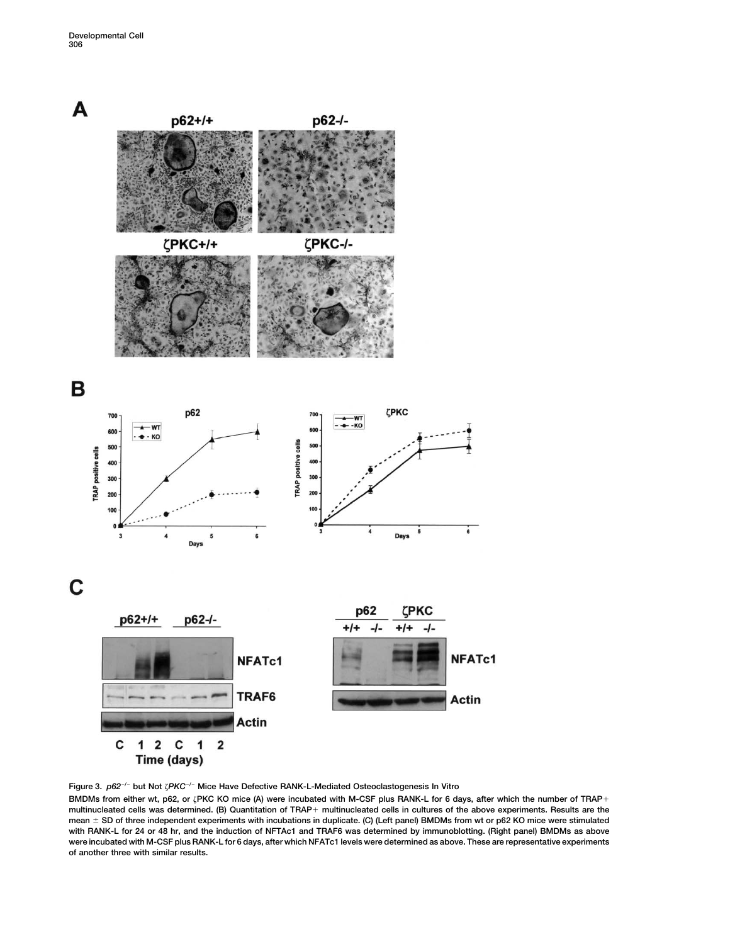

**Figure 3.** *p62/* **but Not** *PKC/* **Mice Have Defective RANK-L-Mediated Osteoclastogenesis In Vitro**

**BMDMs from either wt, p62, or PKC KO mice (A) were incubated with M-CSF plus RANK-L for 6 days, after which the number of TRAP multinucleated cells was determined. (B) Quantitation of TRAP multinucleated cells in cultures of the above experiments. Results are the** mean  $\pm$  SD of three independent experiments with incubations in duplicate. (C) (Left panel) BMDMs from wt or p62 KO mice were stimulated **with RANK-L for 24 or 48 hr, and the induction of NFTAc1 and TRAF6 was determined by immunoblotting. (Right panel) BMDMs as above were incubated with M-CSF plus RANK-L for 6 days, after which NFATc1 levels were determined as above. These are representative experiments of another three with similar results.**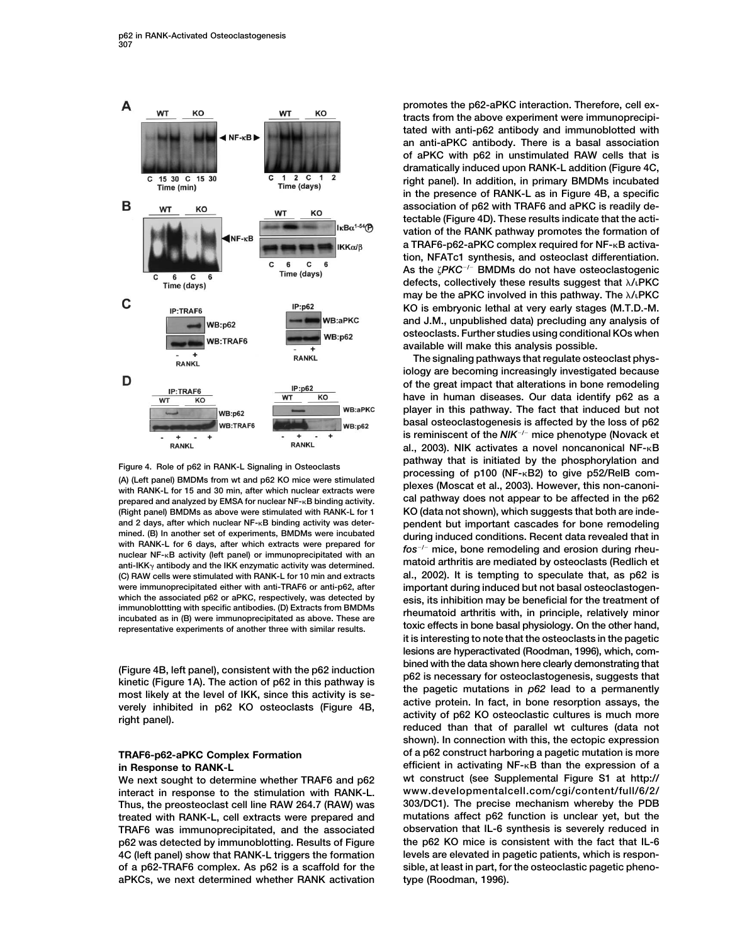

anti-IKK $\gamma$  antibody and the IKK enzymatic activity was determined. **(C) RAW cells were stimulated with RANK-L for 10 min and extracts** 

**interact in response to the stimulation with RANK-L. www.developmentalcell.com/cgi/content/full/6/2/ Thus, the preosteoclast cell line RAW 264.7 (RAW) was 303/DC1). The precise mechanism whereby the PDB treated with RANK-L, cell extracts were prepared and mutations affect p62 function is unclear yet, but the TRAF6 was immunoprecipitated, and the associated observation that IL-6 synthesis is severely reduced in p62 was detected by immunoblotting. Results of Figure the p62 KO mice is consistent with the fact that IL-6 4C (left panel) show that RANK-L triggers the formation levels are elevated in pagetic patients, which is responof a p62-TRAF6 complex. As p62 is a scaffold for the sible, at least in part, for the osteoclastic pagetic phenoaPKCs, we next determined whether RANK activation type (Roodman, 1996).**

**promotes the p62-aPKC interaction. Therefore, cell extracts from the above experiment were immunoprecipitated with anti-p62 antibody and immunoblotted with an anti-aPKC antibody. There is a basal association of aPKC with p62 in unstimulated RAW cells that is dramatically induced upon RANK-L addition (Figure 4C, right panel). In addition, in primary BMDMs incubated in the presence of RANK-L as in Figure 4B, a specific association of p62 with TRAF6 and aPKC is readily detectable (Figure 4D). These results indicate that the activation of the RANK pathway promotes the formation of** a TRAF6-p62-aPKC complex required for NF-<sub>K</sub>B activa**tion, NFATc1 synthesis, and osteoclast differentiation.** As the  $\zeta P K C^{-/-}$  BMDMs do not have osteoclastogenic **defects, collectively these results suggest that /**-**PKC may be the aPKC involved in this pathway. The**  $\lambda$ **/<sub>·</sub>PKC KO is embryonic lethal at very early stages (M.T.D.-M. and J.M., unpublished data) precluding any analysis of osteoclasts. Further studies using conditional KOs when available will make this analysis possible.**

**The signaling pathways that regulate osteoclast physiology are becoming increasingly investigated because of the great impact that alterations in bone remodeling have in human diseases. Our data identify p62 as a player in this pathway. The fact that induced but not basal osteoclastogenesis is affected by the loss of p62 is reminiscent of the** *NIK/* **mice phenotype (Novack et al., 2003). NIK activates a novel noncanonical NF-B** Figure 4. Role of p62 in RANK-L Signaling in Osteoclasts<br>(A) (Left panel) BMDMs from wt and p62 KO mice were stimulated<br>with RANK-L for 15 and 30 min, after which nuclear extracts were plexes (Moscat et al., 2003). However **prepared and analyzed by EMSA for nuclear NF-B binding activity. cal pathway does not appear to be affected in the p62 (Right panel) BMDMs as above were stimulated with RANK-L for 1 KO (data not shown), which suggests that both are indeand 2 days, after which nuclear NF-B binding activity was deter- pendent but important cascades for bone remodeling** mined. (B) in another set of experiments, BMDMs were incubated<br>with RANK-L for 6 days, after which extracts were prepared for<br>anti-IKK<sub>Y</sub> antibody and the IKK enzymatic activity was determined.<br>anti-IKK<sub>Y</sub> antibody and th were immunoprecipitated either with anti-TRAF6 or anti-p62, after<br>which the associated p62 or aPKC, respectively, was detected by<br>esis its inhibition may be beneficial for the treatment of which the associated p62 or aPKC, respectively, was detected by<br>
incubated as in (B) were immunoprecipitated as above. These are<br>
representative experiments of another three with similar results.<br>
representative experiment **it is interesting to note that the osteoclasts in the pagetic lesions are hyperactivated (Roodman, 1996), which, com-**(Figure 4B, left panel), consistent with the p62 induction<br>
kinetic (Figure 1A). The action of p62 in this pathway is<br>
most likely at the level of IKK, since this activity is se-<br>
verely inhibited in p62 KO osteoclasts (F **shown). In connection with this, the ectopic expression TRAF6-p62-aPKC Complex Formation of a p62 construct harboring a pagetic mutation is more in Response to RANK-L efficient in activating NF-B than the expression of a We next sought to determine whether TRAF6 and p62 wt construct (see Supplemental Figure S1 at http://**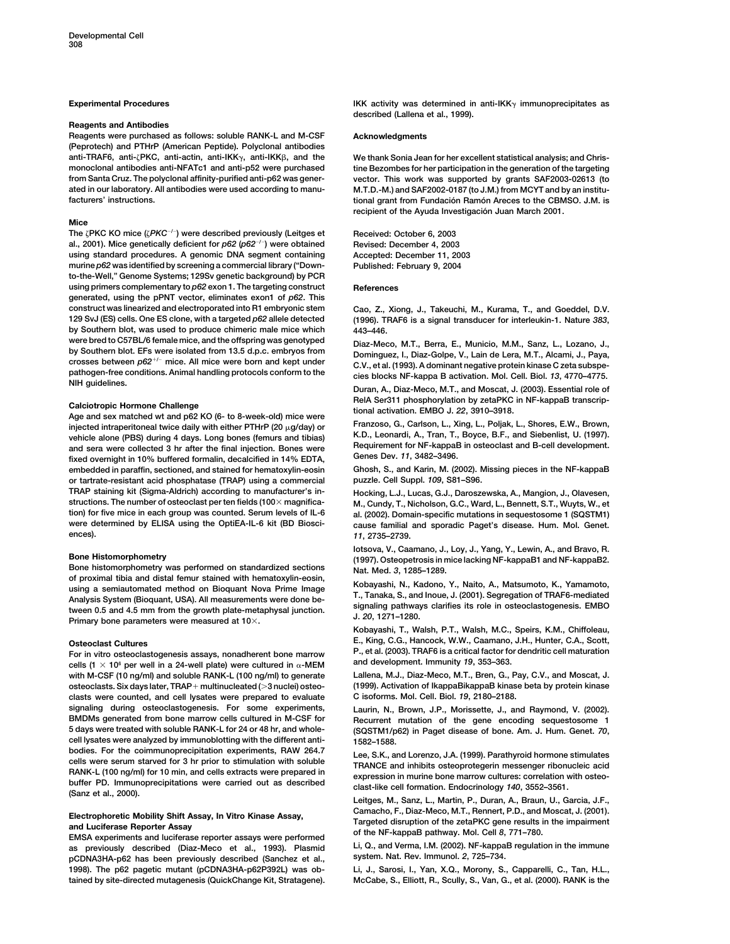## **Reagents and Antibodies**

**Reagents were purchased as follows: soluble RANK-L and M-CSF Acknowledgments (Peprotech) and PTHrP (American Peptide). Polyclonal antibodies anti-TRAF6, anti-PKC, anti-actin, anti-IKK monoclonal antibodies anti-NFATc1 and anti-p52 were purchased tine Bezombes for her participation in the generation of the targeting from Santa Cruz. The polyclonal affinity-purified anti-p62 was gener- vector. This work was supported by grants SAF2003-02613 (to facturers' instructions. tional grant from Fundacio´ n Ramo´ n Areces to the CBMSO. J.M. is**

## **Mice**

**The PKC KO mice (***PKC/***) were described previously (Leitges et Received: October 6, 2003 al., 2001). Mice genetically deficient for** *p62* **(***p62/***) were obtained Revised: December 4, 2003 using standard procedures. A genomic DNA segment containing Accepted: December 11, 2003 murine** *p62* **was identified by screening a commercial library ("Down- Published: February 9, 2004 to-the-Well," Genome Systems; 129Sv genetic background) by PCR** using primers complementary to  $p62$  exon 1. The targeting construct **References generated, using the pPNT vector, eliminates exon1 of** *p62***. This construct was linearized and electroporated into R1 embryonic stem Cao, Z., Xiong, J., Takeuchi, M., Kurama, T., and Goeddel, D.V. 129 SvJ (ES) cells. One ES clone, with a targeted** *p62* **allele detected (1996). TRAF6 is a signal transducer for interleukin-1. Nature** *383***, by Southern blot, was used to produce chimeric male mice which**  $443-446$ **.<br>were bred to C57BL/6 female mice, and the offspring was genotyped** were bred to C57BL/6 female mice, and the offspring was genotyped<br>by Southern blot. EFs were isolated from 13.5 d.p.c. embryos from<br>crosses between  $p62^{+/-}$  mice. All mice were born and kept under<br>pathogen-free conditions

Calciotropic Hormone Challenge<br>Age and sex matched wt and p62 KO (6- to 8-week-old) mice were<br>injected intraperitoneal twice daily with either PTHrP (20  $\mu$ g/day) or<br>injected intraperitoneal twice daily with either PTHrP **embedded in paraffin, sectioned, and stained for hematoxylin-eosin Ghosh, S., and Karin, M. (2002). Missing pieces in the NF-kappaB or tartrate-resistant acid phosphatase (TRAP) using a commercial puzzle. Cell Suppl.** *109***, S81–S96. TRAP staining kit (Sigma-Aldrich) according to manufacturer's in- Hocking, L.J., Lucas, G.J., Daroszewska, A., Mangion, J., Olavesen, structions. The number of osteoclast per ten fields (100 magnifica- M., Cundy, T., Nicholson, G.C., Ward, L., Bennett, S.T., Wuyts, W., et tion) for five mice in each group was counted. Serum levels of IL-6 al. (2002). Domain-specific mutations in sequestosome 1 (SQSTM1) were determined by ELISA using the OptiEA-IL-6 kit (BD Biosci- cause familial and sporadic Paget's disease. Hum. Mol. Genet.**

or province using a semiautomated method on Bioquant Nova Prime Image<br>
using a semiautomated method on Bioquant Nova Prime Image<br>
Analysis System (Bioquant, USA). All measurements were done be-<br>
T., Tanaka, S., and Inoue,

For in vitro osteoclastogenesis assays, nonadherent bone marrow P., et al. (2003). TRAF6 is a critical factor for<br>cells (1  $\times$  10<sup>6</sup> per well in a 24-well plate) were cultured in  $_{\alpha}$ -MEM and development. Immunity 19, **with M-CSF (10 ng/ml) and soluble RANK-L (100 ng/ml) to generate Lallena, M.J., Diaz-Meco, M.T., Bren, G., Pay, C.V., and Moscat, J.**  $c$ lasts were counted, and cell lysates were prepared to evaluate **signaling during osteoclastogenesis. For some experiments, Laurin, N., Brown, J.P., Morissette, J., and Raymond, V. (2002). BMDMs generated from bone marrow cells cultured in M-CSF for Recurrent mutation of the gene encoding sequestosome 1 cell lysates were analyzed by immunoblotting with the different anti-**<br>bodies. For the coimmunoprecipitation experiments, RAW 264.7 bodies. For the coimmunoprecipitation experiments, RAW 264.7<br>
cells were serum starved for 3 hr prior to stimulation with soluble<br>
RANK-L (100 ng/ml) for 10 min, and cells extracts were prepared in<br>
buffer PD. Immunoprecip

as previously described (Diaz-Meco et al., 1993). Plasmid Li, Q., and Verma, I.M. (2002). NF-kappa<br>RCDNA3HA-p62 has been previously described (Sanchez et al., System, Nat. Rev. Immunol, 2, 725–734. **system. Nat. Rev. Immunol.** *2***, 725–734. pCDNA3HA-p62 has been previously described (Sanchez et al., 1998). The p62 pagetic mutant (pCDNA3HA-p62P392L) was ob- Li, J., Sarosi, I., Yan, X.Q., Morony, S., Capparelli, C., Tan, H.L.,**

**Experimental Procedures IKK activity was determined in anti-IKK immunoprecipitates as described (Lallena et al., 1999).**

We thank Sonia Jean for her excellent statistical analysis; and Chris-**M.T.D.-M.) and SAF2002-0187 (to J.M.) from MCYT and by an institu**recipient of the Ayuda Investigación Juan March 2001.

**ences).** *11***, 2735–2739.**

Bone Histomorphometry<br>Bone Histomorphometry was performed on standardized sections<br>of proximal tibia and distal femur stained with hematoxylin-eosin,<br>of proximal tibia and distal femur stained with hematoxylin-eosin,<br>of pr

**Kobayashi, T., Walsh, P.T., Walsh, M.C., Speirs, K.M., Chiffoleau, E., King, C.G., Hancock, W.W., Caamano, J.H., Hunter, C.A., Scott, Osteoclast Cultures**

**osteoclasts. Six days later, TRAP multinucleated ( 3 nuclei) osteo- (1999). Activation of IkappaBikappaB kinase beta by protein kinase**

**5 days were treated with soluble RANK-L for 24 or 48 hr, and whole- (SQSTM1/p62) in Paget disease of bone. Am. J. Hum. Genet.** *70***,**

Electrophoretic Mobility Shift Assay, In Vitro Kinase Assay,<br>and Luciferase Reporter Assay F. Michael Assay, The Vitro Assay and Luciferase Reporter Assay<br>EMSA experiments and luciferase reporter assays were performed<br>as p

**tained by site-directed mutagenesis (QuickChange Kit, Stratagene). McCabe, S., Elliott, R., Scully, S., Van, G., et al. (2000). RANK is the**